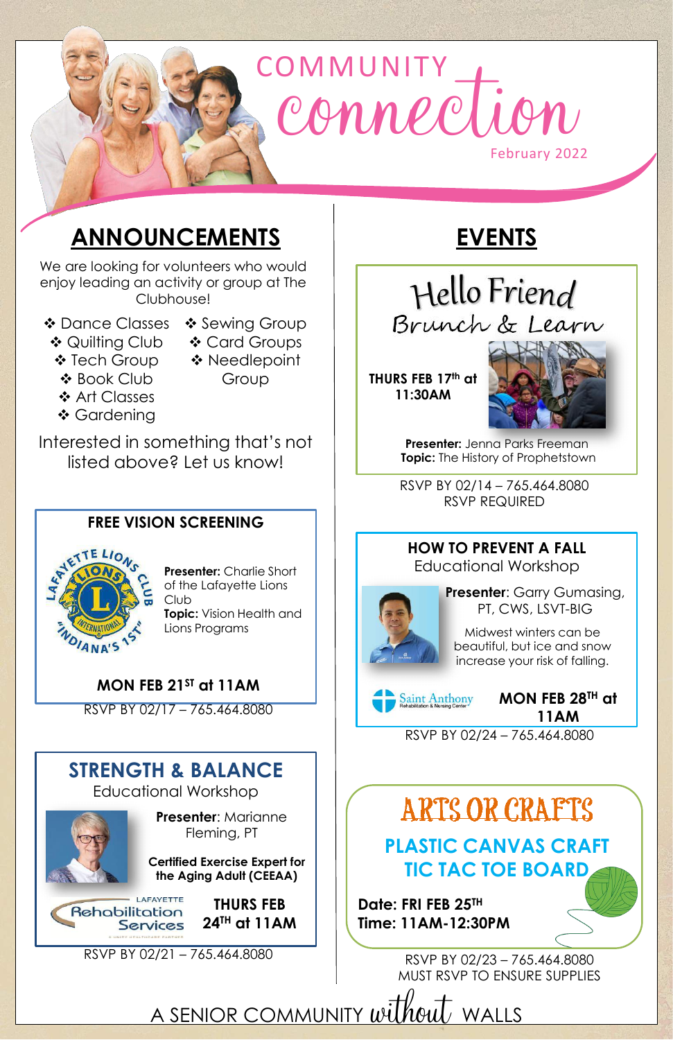# COMMUNITY February 2022 rection

## **ANNOUNCEMENTS**

We are looking for volunteers who would enjoy leading an activity or group at The Clubhouse!

- Dance Classes Sewing Group
	-
- **❖ Quilting Club** ❖ Tech Group
- **❖ Card Groups** ◆ Needlepoint Group
- ❖ Book Club
- ❖ Art Classes
- ❖ Gardening

**Presenter:** Jenna Parks Freeman **Topic:** The History of Prophetstown

Interested in something that's not listed above? Let us know!

> RSVP BY 02/14 – 765.464.8080 RSVP REQUIRED

**THURS FEB 17th at 11:30AM**



## **EVENTS**

Hello Friend Brunch & Learn

> **Presenter**: Garry Gumasing, PT, CWS, LSVT-BIG

> > **MON FEB 28TH at 11AM**

#### **HOW TO PREVENT A FALL** Educational Workshop



RSVP BY 02/24 – 765.464.8080

Midwest winters can be beautiful, but ice and snow increase your risk of falling.



**Presenter**: Marianne Fleming, PT

**THURS FEB** 

**24TH at 11AM**



#### **STRENGTH & BALANCE**

Educational Workshop



RSVP BY 02/21 – 765.464.8080

ARTS OR CRAFTS

#### **MON FEB 21ST at 11AM**

#### **FREE VISION SCREENING**



RSVP BY 02/17 – 765.464.8080



**Certified Exercise Expert for the Aging Adult (CEEAA)**

**Presenter:** Charlie Short of the Lafayette Lions Club **Topic:** Vision Health and Lions Programs

> **Date: FRI FEB 25TH Time: 11AM-12:30PM**

**PLASTIC CANVAS CRAFT TIC TAC TOE BOARD**

RSVP BY 02/23 – 765.464.8080 MUST RSVP TO ENSURE SUPPLIES

A SENIOR COMMUNITY without WALLS